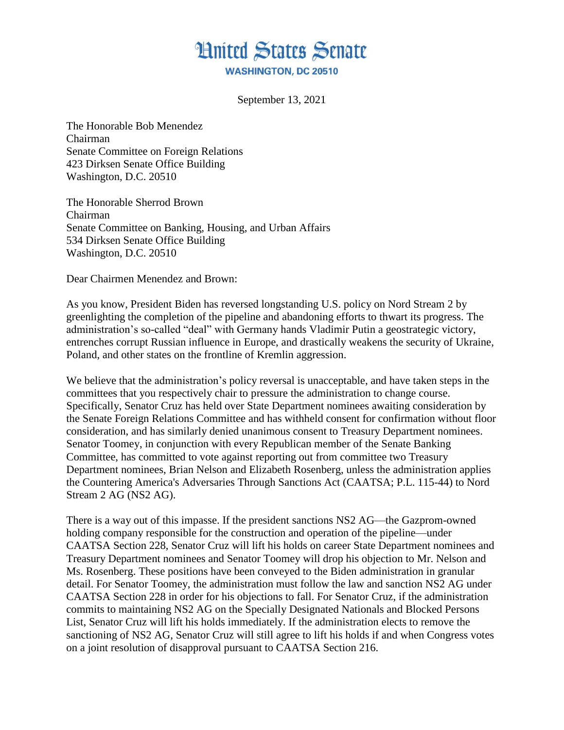

September 13, 2021

The Honorable Bob Menendez Chairman Senate Committee on Foreign Relations 423 Dirksen Senate Office Building Washington, D.C. 20510

The Honorable Sherrod Brown Chairman Senate Committee on Banking, Housing, and Urban Affairs 534 Dirksen Senate Office Building Washington, D.C. 20510

Dear Chairmen Menendez and Brown:

As you know, President Biden has reversed longstanding U.S. policy on Nord Stream 2 by greenlighting the completion of the pipeline and abandoning efforts to thwart its progress. The administration's so-called "deal" with Germany hands Vladimir Putin a geostrategic victory, entrenches corrupt Russian influence in Europe, and drastically weakens the security of Ukraine, Poland, and other states on the frontline of Kremlin aggression.

We believe that the administration's policy reversal is unacceptable, and have taken steps in the committees that you respectively chair to pressure the administration to change course. Specifically, Senator Cruz has held over State Department nominees awaiting consideration by the Senate Foreign Relations Committee and has withheld consent for confirmation without floor consideration, and has similarly denied unanimous consent to Treasury Department nominees. Senator Toomey, in conjunction with every Republican member of the Senate Banking Committee, has committed to vote against reporting out from committee two Treasury Department nominees, Brian Nelson and Elizabeth Rosenberg, unless the administration applies the Countering America's Adversaries Through Sanctions Act (CAATSA; P.L. 115-44) to Nord Stream 2 AG (NS2 AG).

There is a way out of this impasse. If the president sanctions NS2 AG—the Gazprom-owned holding company responsible for the construction and operation of the pipeline—under CAATSA Section 228, Senator Cruz will lift his holds on career State Department nominees and Treasury Department nominees and Senator Toomey will drop his objection to Mr. Nelson and Ms. Rosenberg. These positions have been conveyed to the Biden administration in granular detail. For Senator Toomey, the administration must follow the law and sanction NS2 AG under CAATSA Section 228 in order for his objections to fall. For Senator Cruz, if the administration commits to maintaining NS2 AG on the Specially Designated Nationals and Blocked Persons List, Senator Cruz will lift his holds immediately. If the administration elects to remove the sanctioning of NS2 AG, Senator Cruz will still agree to lift his holds if and when Congress votes on a joint resolution of disapproval pursuant to CAATSA Section 216.